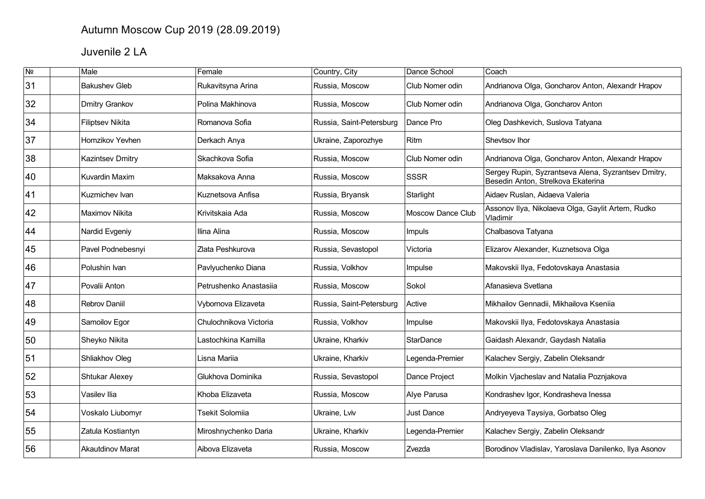## Autumn Moscow Cup 2019 (28.09.2019)

## Juvenile 2 LA

| $\overline{\mathsf{N}^{\mathsf{0}}}$ | Male                    | Female                 | Country, City            | Dance School      | Coach                                                                                     |
|--------------------------------------|-------------------------|------------------------|--------------------------|-------------------|-------------------------------------------------------------------------------------------|
| 31                                   | <b>Bakushev Gleb</b>    | Rukavitsyna Arina      | Russia, Moscow           | Club Nomer odin   | Andrianova Olga, Goncharov Anton, Alexandr Hrapov                                         |
| 32                                   | Dmitry Grankov          | Polina Makhinova       | Russia, Moscow           | Club Nomer odin   | Andrianova Olga, Goncharov Anton                                                          |
| 34                                   | <b>Filiptsev Nikita</b> | Romanova Sofia         | Russia, Saint-Petersburg | Dance Pro         | Oleg Dashkevich, Suslova Tatyana                                                          |
| 37                                   | Homzikov Yevhen         | Derkach Anya           | Ukraine, Zaporozhye      | Ritm              | Shevtsov Ihor                                                                             |
| 38                                   | <b>Kazintsev Dmitry</b> | Skachkova Sofia        | Russia, Moscow           | Club Nomer odin   | Andrianova Olga, Goncharov Anton, Alexandr Hrapov                                         |
| 40                                   | <b>Kuvardin Maxim</b>   | Maksakova Anna         | Russia, Moscow           | <b>SSSR</b>       | Sergey Rupin, Syzrantseva Alena, Syzrantsev Dmitry,<br>Besedin Anton, Strelkova Ekaterina |
| 41                                   | Kuzmichev Ivan          | Kuznetsova Anfisa      | Russia, Bryansk          | Starlight         | Aidaev Ruslan, Aidaeva Valeria                                                            |
| 42                                   | Maximov Nikita          | Krivitskaia Ada        | Russia, Moscow           | Moscow Dance Club | Assonov Ilya, Nikolaeva Olga, Gaylit Artem, Rudko<br>Vladimir                             |
| 44                                   | Nardid Evgeniy          | Ilina Alina            | Russia, Moscow           | Impuls            | Chalbasova Tatyana                                                                        |
| 45                                   | Pavel Podnebesnyi       | Zlata Peshkurova       | Russia, Sevastopol       | Victoria          | Elizarov Alexander, Kuznetsova Olga                                                       |
| 46                                   | Polushin Ivan           | Pavlyuchenko Diana     | Russia, Volkhov          | Impulse           | Makovskii Ilya, Fedotovskaya Anastasia                                                    |
| 47                                   | Povalii Anton           | Petrushenko Anastasiia | Russia, Moscow           | Sokol             | Afanasieva Svetlana                                                                       |
| 48                                   | <b>Rebrov Daniil</b>    | Vybornova Elizaveta    | Russia, Saint-Petersburg | Active            | Mikhailov Gennadii, Mikhailova Kseniia                                                    |
| 49                                   | Samoilov Egor           | Chulochnikova Victoria | Russia, Volkhov          | Impulse           | Makovskii Ilya, Fedotovskaya Anastasia                                                    |
| 50                                   | Sheyko Nikita           | Lastochkina Kamilla    | Ukraine, Kharkiv         | <b>StarDance</b>  | Gaidash Alexandr, Gaydash Natalia                                                         |
| 51                                   | Shliakhov Oleg          | Lisna Mariia           | Ukraine, Kharkiv         | Legenda-Premier   | Kalachev Sergiy, Zabelin Oleksandr                                                        |
| 52                                   | <b>Shtukar Alexey</b>   | Glukhova Dominika      | Russia, Sevastopol       | Dance Project     | Molkin Vjacheslav and Natalia Poznjakova                                                  |
| 53                                   | Vasilev Ilia            | Khoba Elizaveta        | Russia, Moscow           | Alye Parusa       | Kondrashev Igor, Kondrasheva Inessa                                                       |
| 54                                   | Voskalo Liubomyr        | Tsekit Solomiia        | Ukraine, Lviv            | Just Dance        | Andryeyeva Taysiya, Gorbatso Oleg                                                         |
| 55                                   | Zatula Kostiantyn       | Miroshnychenko Daria   | Ukraine, Kharkiv         | Legenda-Premier   | Kalachev Sergiy, Zabelin Oleksandr                                                        |
| 56                                   | <b>Akautdinov Marat</b> | Aibova Elizaveta       | Russia, Moscow           | Zvezda            | Borodinov Vladislav, Yaroslava Danilenko, Ilya Asonov                                     |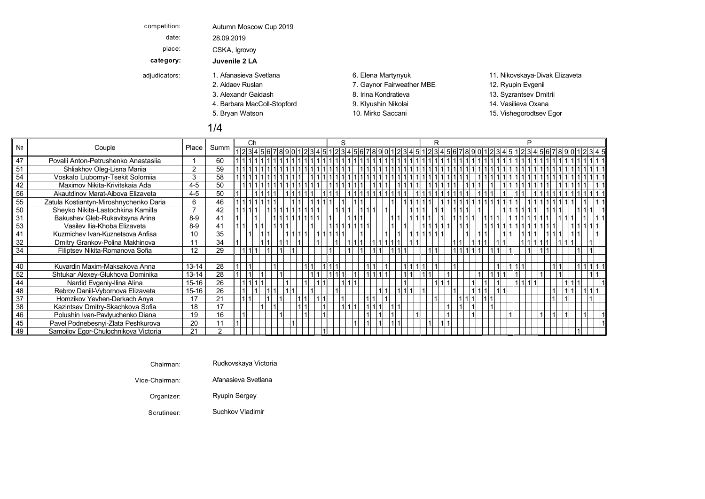| competition:  | Autumn Moscow Cup 2019      |                           |                                |
|---------------|-----------------------------|---------------------------|--------------------------------|
| date:         | 28.09.2019                  |                           |                                |
| place:        | CSKA, Igrovoy               |                           |                                |
| category:     | Juvenile 2 LA               |                           |                                |
| adjudicators: | 1. Afanasieva Svetlana      | 6. Elena Martynyuk        | 11. Nikovskaya-Divak Elizaveta |
|               | 2. Aidaev Ruslan            | 7. Gaynor Fairweather MBE | 12. Ryupin Evgenii             |
|               | 3. Alexandr Gaidash         | 8. Irina Kondratieva      | 13. Syzrantsev Dmitrii         |
|               | 4. Barbara MacColl-Stopford | 9. Klyushin Nikolai       | 14. Vasilieva Oxana            |
|               | 5. Bryan Watson             | 10. Mirko Saccani         | 15. Vishegorodtsev Egor        |
|               | 1/4                         |                           |                                |

|    |                                        |           |      | Ch |  |  |  |  | S |             |  |                                                                                                                                                                                                                                | R |  |  |  |  |  |  |  |  |
|----|----------------------------------------|-----------|------|----|--|--|--|--|---|-------------|--|--------------------------------------------------------------------------------------------------------------------------------------------------------------------------------------------------------------------------------|---|--|--|--|--|--|--|--|--|
| Nº | Couple                                 | Place     | Summ |    |  |  |  |  |   |             |  | $1234567890123451121345112131456789011213145161789011213145161789011213145112131415141213141514121314151412131415141213141514121314151412131415141213141514121314151412131415141213141514121314151412131415141213141514121314$ |   |  |  |  |  |  |  |  |  |
| 47 | Povalii Anton-Petrushenko Anastasiia   |           | 60   |    |  |  |  |  |   |             |  |                                                                                                                                                                                                                                |   |  |  |  |  |  |  |  |  |
| 51 | Shliakhov Oleg-Lisna Mariia            | 2         | 59   |    |  |  |  |  |   | 11111111111 |  |                                                                                                                                                                                                                                |   |  |  |  |  |  |  |  |  |
| 54 | Voskalo Liubomyr-Tsekit Solomiia       | 3         | 58   |    |  |  |  |  |   |             |  |                                                                                                                                                                                                                                |   |  |  |  |  |  |  |  |  |
| 42 | Maximov Nikita-Krivitskaja Ada         | $4 - 5$   | 50   |    |  |  |  |  |   |             |  |                                                                                                                                                                                                                                |   |  |  |  |  |  |  |  |  |
| 56 | Akautdinov Marat-Aibova Elizaveta      | $4 - 5$   | 50   |    |  |  |  |  |   |             |  |                                                                                                                                                                                                                                |   |  |  |  |  |  |  |  |  |
| 55 | Zatula Kostiantyn-Miroshnychenko Daria | 6         | 46   |    |  |  |  |  |   |             |  |                                                                                                                                                                                                                                |   |  |  |  |  |  |  |  |  |
| 50 | Sheyko Nikita-Lastochkina Kamilla      |           | 42   |    |  |  |  |  |   |             |  |                                                                                                                                                                                                                                |   |  |  |  |  |  |  |  |  |
| 31 | Bakushev Gleb-Rukavitsyna Arina        | $8-9$     | 41   |    |  |  |  |  |   |             |  |                                                                                                                                                                                                                                |   |  |  |  |  |  |  |  |  |
| 53 | Vasilev Ilia-Khoba Elizaveta           | $8-9$     | 41   |    |  |  |  |  |   |             |  |                                                                                                                                                                                                                                |   |  |  |  |  |  |  |  |  |
| 41 | Kuzmichev Ivan-Kuznetsova Anfisa       | 10        | 35   |    |  |  |  |  |   |             |  |                                                                                                                                                                                                                                |   |  |  |  |  |  |  |  |  |
| 32 | Dmitry Grankov-Polina Makhinova        | 11        | 34   |    |  |  |  |  |   |             |  |                                                                                                                                                                                                                                |   |  |  |  |  |  |  |  |  |
| 34 | Filiptsev Nikita-Romanova Sofia        | 12        | 29   |    |  |  |  |  |   |             |  |                                                                                                                                                                                                                                |   |  |  |  |  |  |  |  |  |
|    |                                        |           |      |    |  |  |  |  |   |             |  |                                                                                                                                                                                                                                |   |  |  |  |  |  |  |  |  |
| 40 | Kuvardin Maxim-Maksakova Anna          | $13 - 14$ | 28   |    |  |  |  |  |   |             |  |                                                                                                                                                                                                                                |   |  |  |  |  |  |  |  |  |
| 52 | Shtukar Alexey-Glukhova Dominika       | $13 - 14$ | 28   |    |  |  |  |  |   |             |  |                                                                                                                                                                                                                                |   |  |  |  |  |  |  |  |  |
| 44 | Nardid Evgeniy-Ilina Alina             | $15 - 16$ | 26   |    |  |  |  |  |   |             |  |                                                                                                                                                                                                                                |   |  |  |  |  |  |  |  |  |
| 48 | Rebrov Daniil-Vybornova Elizaveta      | $15 - 16$ | 26   |    |  |  |  |  |   |             |  |                                                                                                                                                                                                                                |   |  |  |  |  |  |  |  |  |
| 37 | Homzikov Yevhen-Derkach Anya           | 17        | 21   |    |  |  |  |  |   |             |  |                                                                                                                                                                                                                                |   |  |  |  |  |  |  |  |  |
| 38 | Kazintsev Dmitry-Skachkova Sofia       | 18        | 17   |    |  |  |  |  |   |             |  |                                                                                                                                                                                                                                |   |  |  |  |  |  |  |  |  |
| 46 | Polushin Ivan-Pavlyuchenko Diana       | 19        | 16   |    |  |  |  |  |   |             |  |                                                                                                                                                                                                                                |   |  |  |  |  |  |  |  |  |
| 45 | Pavel Podnebesnyi-Zlata Peshkurova     | 20        |      |    |  |  |  |  |   |             |  |                                                                                                                                                                                                                                |   |  |  |  |  |  |  |  |  |
| 49 | Samoilov Egor-Chulochnikova Victoria   | 21        |      |    |  |  |  |  |   |             |  |                                                                                                                                                                                                                                |   |  |  |  |  |  |  |  |  |

| Chairman: | Rudkovskava Victoria |  |  |  |
|-----------|----------------------|--|--|--|
|-----------|----------------------|--|--|--|

Vice-Chairman: Afanasieva Svetlana

Organizer: Ryupin Sergey Bryan Mirko Vishegorodtsev Quickstep Q Watson Schwarzer Ag Watson Schwarzer Schwarzer

Scrutineer: Suchkov Vladimir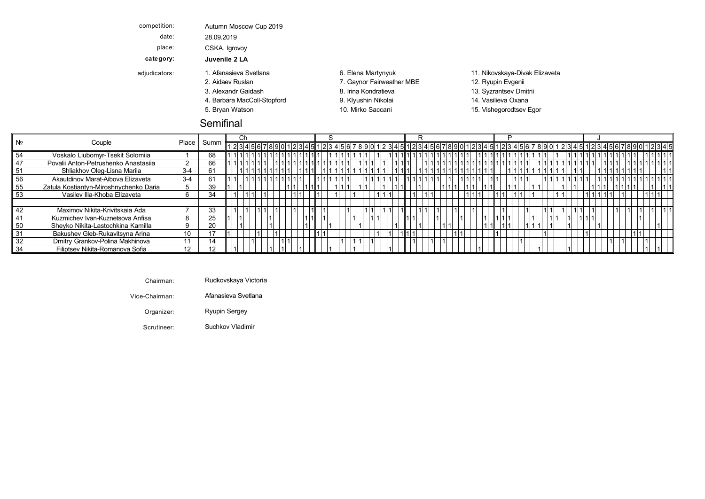| competition:  | Autumn Moscow Cup 2019      |                           |                                |
|---------------|-----------------------------|---------------------------|--------------------------------|
| date:         | 28.09.2019                  |                           |                                |
| place:        | CSKA, Igrovov               |                           |                                |
| category:     | Juvenile 2 LA               |                           |                                |
| adjudicators: | 1. Afanasieva Svetlana      | 6. Elena Martynyuk        | 11. Nikovskaya-Divak Elizaveta |
|               | 2. Aidaev Ruslan            | 7. Gaynor Fairweather MBE | 12. Ryupin Evgenii             |
|               | 3. Alexandr Gaidash         | 8. Irina Kondratieva      | 13. Syzrantsev Dmitrii         |
|               | 4. Barbara MacColl-Stopford | 9. Klyushin Nikolai       | 14. Vasilieva Oxana            |
|               | 5. Bryan Watson             | 10. Mirko Saccani         | 15. Vishegorodtsev Egor        |
|               | _________                   |                           |                                |

| Semifinal |
|-----------|
|           |

|    | N <sub>2</sub><br>Couple               |       |              |                                                                                            |  |     |  |  |  |  |  |  |  |  |  |  |  |  |  |  |  |  |
|----|----------------------------------------|-------|--------------|--------------------------------------------------------------------------------------------|--|-----|--|--|--|--|--|--|--|--|--|--|--|--|--|--|--|--|
|    |                                        |       | Place   Summ | 123456789012345123456789012345678901234512345678901234567890123451234567890123456789012345 |  |     |  |  |  |  |  |  |  |  |  |  |  |  |  |  |  |  |
| 54 | Voskalo Liubomyr-Tsekit Solomiia       |       | 68           |                                                                                            |  |     |  |  |  |  |  |  |  |  |  |  |  |  |  |  |  |  |
| 47 | Povalii Anton-Petrushenko Anastasiia   |       | 66           |                                                                                            |  |     |  |  |  |  |  |  |  |  |  |  |  |  |  |  |  |  |
| 51 | Shliakhov Oleg-Lisna Mariia            | $3-4$ | 61           |                                                                                            |  |     |  |  |  |  |  |  |  |  |  |  |  |  |  |  |  |  |
| 56 | Akautdinov Marat-Aibova Elizaveta      | $3-4$ | 61           |                                                                                            |  |     |  |  |  |  |  |  |  |  |  |  |  |  |  |  |  |  |
| 55 | Zatula Kostiantyn-Miroshnychenko Daria |       | 39           |                                                                                            |  |     |  |  |  |  |  |  |  |  |  |  |  |  |  |  |  |  |
| 53 | Vasilev Ilia-Khoba Elizaveta           |       | 34           |                                                                                            |  |     |  |  |  |  |  |  |  |  |  |  |  |  |  |  |  |  |
|    |                                        |       |              |                                                                                            |  |     |  |  |  |  |  |  |  |  |  |  |  |  |  |  |  |  |
| 42 | Maximov Nikita-Krivitskaia Ada         |       | 33           |                                                                                            |  |     |  |  |  |  |  |  |  |  |  |  |  |  |  |  |  |  |
| 41 | Kuzmichev Ivan-Kuznetsova Anfisa       |       | 25           |                                                                                            |  |     |  |  |  |  |  |  |  |  |  |  |  |  |  |  |  |  |
| 50 | Sheyko Nikita-Lastochkina Kamilla      |       | 20           |                                                                                            |  |     |  |  |  |  |  |  |  |  |  |  |  |  |  |  |  |  |
| 31 | Bakushev Gleb-Rukavitsyna Arina        |       |              |                                                                                            |  |     |  |  |  |  |  |  |  |  |  |  |  |  |  |  |  |  |
| 32 | Dmitry Grankov-Polina Makhinova        |       | 14           |                                                                                            |  | 111 |  |  |  |  |  |  |  |  |  |  |  |  |  |  |  |  |
| 34 | Filiptsev Nikita-Romanova Sofia        | 12    |              |                                                                                            |  |     |  |  |  |  |  |  |  |  |  |  |  |  |  |  |  |  |

Vice-Chairman: Afanasieva Svetlana Alexandr Irina Syzrantsev Viennese VKondratieva Gaidash Waltz Dmitrii

Organizer: Ryupin Sergey Bryan Mirko Vishegorodtsev Quickstep Q Watson Schwarzer Die Watson Schwarzer Die Die W

Scrutineer: Suchkov Vladimir Samba Suchkov Vladimir Samba Sucha Sucha Sucha Sucha Sucha Suchkov Vladimir Such